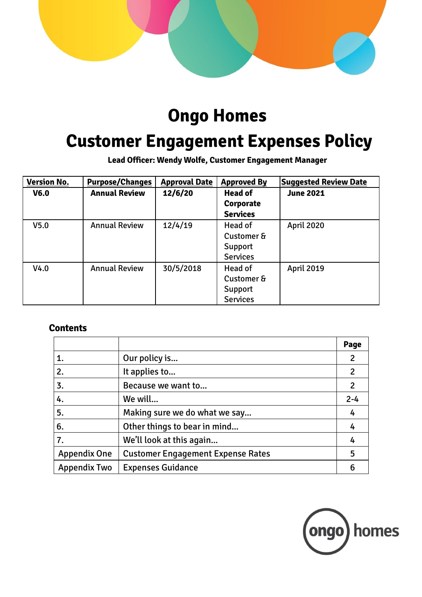

## **Ongo Homes**

# **Customer Engagement Expenses Policy**

**Lead Officer: Wendy Wolfe, Customer Engagement Manager**

| <b>Version No.</b> | <b>Purpose/Changes</b> | <b>Approval Date</b> | <b>Approved By</b> | <b>Suggested Review Date</b> |
|--------------------|------------------------|----------------------|--------------------|------------------------------|
| V <sub>6.0</sub>   | <b>Annual Review</b>   | 12/6/20              | <b>Head of</b>     | <b>June 2021</b>             |
|                    |                        |                      | Corporate          |                              |
|                    |                        |                      | <b>Services</b>    |                              |
| V <sub>5.0</sub>   | <b>Annual Review</b>   | 12/4/19              | Head of            | <b>April 2020</b>            |
|                    |                        |                      | Customer &         |                              |
|                    |                        |                      | Support            |                              |
|                    |                        |                      | <b>Services</b>    |                              |
| V4.0               | <b>Annual Review</b>   | 30/5/2018            | Head of            | <b>April 2019</b>            |
|                    |                        |                      | Customer &         |                              |
|                    |                        |                      | Support            |                              |
|                    |                        |                      | <b>Services</b>    |                              |

#### **Contents**

|                     |                                          | Page    |
|---------------------|------------------------------------------|---------|
| 1.                  | Our policy is                            | 2       |
| 2.                  | It applies to                            | 2       |
| 3.                  | Because we want to                       | 2       |
| 4.                  | We will                                  | $2 - 4$ |
| 5.                  | Making sure we do what we say            | 4       |
| 6.                  | Other things to bear in mind             | 4       |
| 7.                  | We'll look at this again                 | 4       |
| <b>Appendix One</b> | <b>Customer Engagement Expense Rates</b> | 5       |
| <b>Appendix Two</b> | <b>Expenses Guidance</b>                 | 6       |

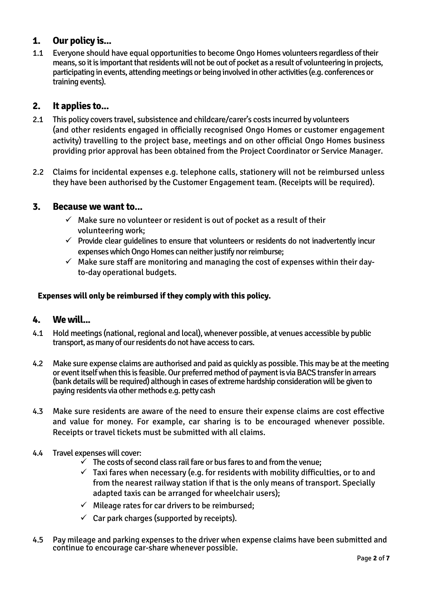#### **1. Our policy is...**

1.1 Everyone should have equal opportunities to become Ongo Homes volunteers regardless of their means, so it is important that residents will not be out of pocket as a result of volunteering in projects, participating in events, attending meetings or being involved in other activities (e.g. conferences or training events).

#### **2. It applies to...**

- 2.1 This policy covers travel, subsistence and childcare/carer's costs incurred by volunteers (and other residents engaged in officially recognised Ongo Homes or customer engagement activity) travelling to the project base, meetings and on other official Ongo Homes business providing prior approval has been obtained from the Project Coordinator or Service Manager.
- 2.2 Claims for incidental expenses e.g. telephone calls, stationery will not be reimbursed unless they have been authorised by the Customer Engagement team. (Receipts will be required).

#### **3. Because we want to...**

- $\checkmark$  Make sure no volunteer or resident is out of pocket as a result of their volunteering work;
- $\checkmark$  Provide clear guidelines to ensure that volunteers or residents do not inadvertently incur expenses which Ongo Homes can neither justify nor reimburse;
- $\checkmark$  Make sure staff are monitoring and managing the cost of expenses within their dayto-day operational budgets.

#### **Expenses will only be reimbursed if they comply with this policy.**

#### **4. We will...**

- 4.1 Hold meetings (national, regional and local), whenever possible, at venues accessible by public transport, as many of our residents do not have access to cars.
- 4.2 Make sure expense claims are authorised and paid as quickly as possible. This may be at the meeting or event itself when this is feasible. Our preferred method of payment is via BACS transfer in arrears (bank details will be required) although in cases of extreme hardship consideration will be given to paying residents via other methods e.g. petty cash
- 4.3 Make sure residents are aware of the need to ensure their expense claims are cost effective and value for money. For example, car sharing is to be encouraged whenever possible. Receipts or travel tickets must be submitted with all claims.
- 4.4 Travel expenses will cover:
	- $\checkmark$  The costs of second class rail fare or bus fares to and from the venue;
	- $\checkmark$  Taxi fares when necessary (e.g. for residents with mobility difficulties, or to and from the nearest railway station if that is the only means of transport. Specially adapted taxis can be arranged for wheelchair users);
	- $\checkmark$  Mileage rates for car drivers to be reimbursed:
	- $\checkmark$  Car park charges (supported by receipts).
- 4.5 Pay mileage and parking expenses to the driver when expense claims have been submitted and continue to encourage car-share whenever possible.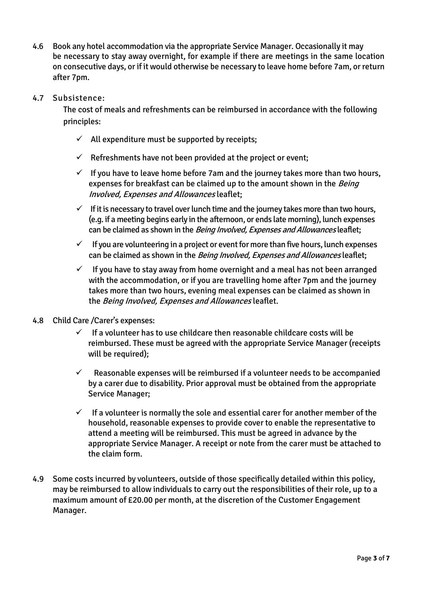- 4.6 Book any hotel accommodation via the appropriate Service Manager. Occasionally it may be necessary to stay away overnight, for example if there are meetings in the same location on consecutive days, or if it would otherwise be necessary to leave home before 7am, or return after 7pm.
- 4.7 Subsistence:

The cost of meals and refreshments can be reimbursed in accordance with the following principles:

- $\checkmark$  All expenditure must be supported by receipts;
- $\checkmark$  Refreshments have not been provided at the project or event;
- $\checkmark$  If you have to leave home before 7am and the journey takes more than two hours, expenses for breakfast can be claimed up to the amount shown in the *Being* Involved, Expenses and Allowances leaflet;
- $\checkmark$  If it is necessary to travel over lunch time and the journey takes more than two hours, (e.g. if a meeting begins early in the afternoon, or ends late morning), lunch expenses can be claimed as shown in the *Being Involved, Expenses and Allowances* leaflet;
- $\checkmark$  If you are volunteering in a project or event for more than five hours, lunch expenses can be claimed as shown in the Being Involved, Expenses and Allowances leaflet;
- $\checkmark$  If you have to stay away from home overnight and a meal has not been arranged with the accommodation, or if you are travelling home after 7pm and the journey takes more than two hours, evening meal expenses can be claimed as shown in the Being Involved, Expenses and Allowances leaflet.
- 4.8 Child Care /Carer's expenses:
	- $\checkmark$  If a volunteer has to use childcare then reasonable childcare costs will be reimbursed. These must be agreed with the appropriate Service Manager (receipts will be required);
	- $\checkmark$  Reasonable expenses will be reimbursed if a volunteer needs to be accompanied by a carer due to disability. Prior approval must be obtained from the appropriate Service Manager;
	- $\checkmark$  If a volunteer is normally the sole and essential carer for another member of the household, reasonable expenses to provide cover to enable the representative to attend a meeting will be reimbursed. This must be agreed in advance by the appropriate Service Manager. A receipt or note from the carer must be attached to the claim form.
- 4.9 Some costs incurred by volunteers, outside of those specifically detailed within this policy, may be reimbursed to allow individuals to carry out the responsibilities of their role, up to a maximum amount of £20.00 per month, at the discretion of the Customer Engagement Manager.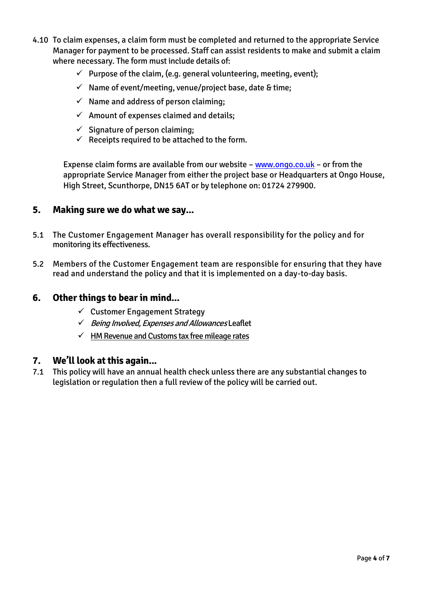- 4.10 To claim expenses, a claim form must be completed and returned to the appropriate Service Manager for payment to be processed. Staff can assist residents to make and submit a claim where necessary. The form must include details of:
	- $\checkmark$  Purpose of the claim, (e.g. general volunteering, meeting, event);
	- $\checkmark$  Name of event/meeting, venue/project base, date & time;
	- $\checkmark$  Name and address of person claiming;
	- $\checkmark$  Amount of expenses claimed and details;
	- $\checkmark$  Signature of person claiming:
	- $\checkmark$  Receipts required to be attached to the form.

Expense claim forms are available from our website – [www.ongo.co.uk](http://www.ongo.co.uk/) – or from the appropriate Service Manager from either the project base or Headquarters at Ongo House, High Street, Scunthorpe, DN15 6AT or by telephone on: 01724 279900.

#### **5. Making sure we do what we say...**

- 5.1 The Customer Engagement Manager has overall responsibility for the policy and for monitoring its effectiveness.
- 5.2 Members of the Customer Engagement team are responsible for ensuring that they have read and understand the policy and that it is implemented on a day-to-day basis.

#### **6. Other things to bear in mind...**

- $\checkmark$  Customer Engagement Strategy
- $\checkmark$  Being Involved, Expenses and Allowances Leaflet
- $\checkmark$  HM Revenue and Customs tax free mileage rates

#### **7. We'll look at this again...**

7.1 This policy will have an annual health check unless there are any substantial changes to legislation or regulation then a full review of the policy will be carried out.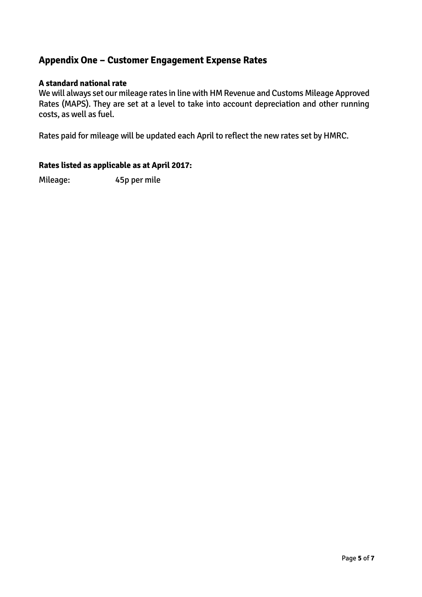#### **Appendix One – Customer Engagement Expense Rates**

#### **A standard national rate**

We will always set our mileage rates in line with HM Revenue and Customs Mileage Approved Rates (MAPS). They are set at a level to take into account depreciation and other running costs, as well as fuel.

Rates paid for mileage will be updated each April to reflect the new rates set by HMRC.

#### **Rates listed as applicable as at April 2017:**

Mileage: 45p per mile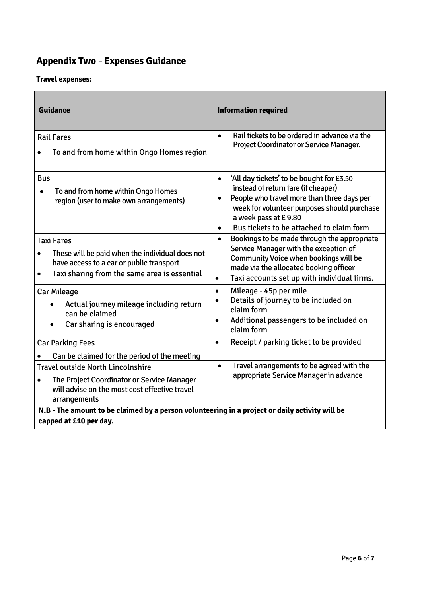### **Appendix Two – Expenses Guidance**

#### **Travel expenses:**

| <b>Guidance</b>                                                                                                                                                                            | <b>Information required</b>                                                                                                                                                                                                                             |  |
|--------------------------------------------------------------------------------------------------------------------------------------------------------------------------------------------|---------------------------------------------------------------------------------------------------------------------------------------------------------------------------------------------------------------------------------------------------------|--|
| <b>Rail Fares</b>                                                                                                                                                                          | Rail tickets to be ordered in advance via the<br>$\bullet$<br>Project Coordinator or Service Manager.                                                                                                                                                   |  |
| To and from home within Ongo Homes region                                                                                                                                                  |                                                                                                                                                                                                                                                         |  |
| <b>Bus</b><br>To and from home within Ongo Homes<br>region (user to make own arrangements)                                                                                                 | 'All day tickets' to be bought for £3.50<br>$\bullet$<br>instead of return fare (if cheaper)<br>People who travel more than three days per<br>$\bullet$<br>week for volunteer purposes should purchase<br>a week pass at £9.80                          |  |
|                                                                                                                                                                                            | Bus tickets to be attached to claim form<br>$\bullet$                                                                                                                                                                                                   |  |
| <b>Taxi Fares</b><br>These will be paid when the individual does not<br>$\bullet$<br>have access to a car or public transport<br>Taxi sharing from the same area is essential<br>$\bullet$ | Bookings to be made through the appropriate<br>$\bullet$<br>Service Manager with the exception of<br><b>Community Voice when bookings will be</b><br>made via the allocated booking officer<br>Taxi accounts set up with individual firms.<br>$\bullet$ |  |
| <b>Car Mileage</b><br>Actual journey mileage including return<br>can be claimed<br>Car sharing is encouraged                                                                               | Mileage - 45p per mile<br>Details of journey to be included on<br>claim form<br>Additional passengers to be included on<br>$\bullet$<br>claim form                                                                                                      |  |
| <b>Car Parking Fees</b>                                                                                                                                                                    | Receipt / parking ticket to be provided<br>$\bullet$                                                                                                                                                                                                    |  |
| Can be claimed for the period of the meeting                                                                                                                                               |                                                                                                                                                                                                                                                         |  |
| <b>Travel outside North Lincolnshire</b><br>The Project Coordinator or Service Manager<br>will advise on the most cost effective travel<br>arrangements                                    | Travel arrangements to be agreed with the<br>$\bullet$<br>appropriate Service Manager in advance                                                                                                                                                        |  |
| N.B - The amount to be claimed by a person volunteering in a project or daily activity will be<br>capped at £10 per day.                                                                   |                                                                                                                                                                                                                                                         |  |